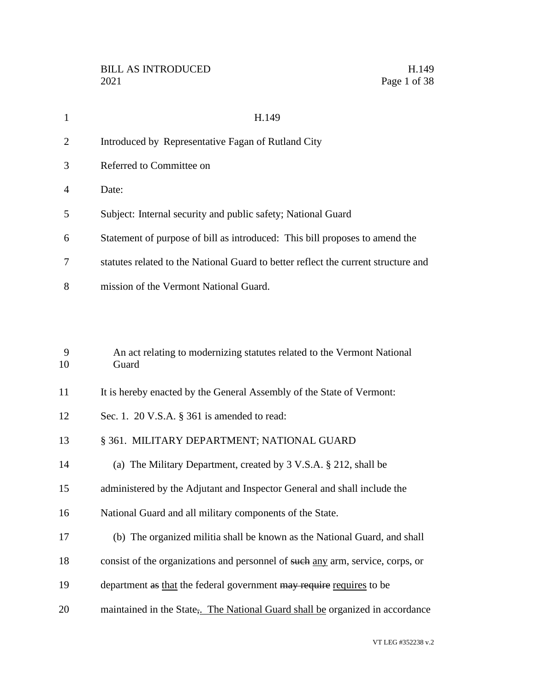| $\mathbf{1}$   | H.149                                                                              |
|----------------|------------------------------------------------------------------------------------|
| $\overline{2}$ | Introduced by Representative Fagan of Rutland City                                 |
| 3              | Referred to Committee on                                                           |
| 4              | Date:                                                                              |
| 5              | Subject: Internal security and public safety; National Guard                       |
| 6              | Statement of purpose of bill as introduced: This bill proposes to amend the        |
| 7              | statutes related to the National Guard to better reflect the current structure and |
| 8              | mission of the Vermont National Guard.                                             |
|                |                                                                                    |
| 9<br>10        | An act relating to modernizing statutes related to the Vermont National<br>Guard   |
| 11             | It is hereby enacted by the General Assembly of the State of Vermont:              |
| 12             | Sec. 1. 20 V.S.A. § 361 is amended to read:                                        |
| 13             | § 361. MILITARY DEPARTMENT; NATIONAL GUARD                                         |
| 14             | (a) The Military Department, created by 3 V.S.A. § 212, shall be                   |
| 15             | administered by the Adjutant and Inspector General and shall include the           |
| 16             | National Guard and all military components of the State.                           |
| 17             | (b) The organized militia shall be known as the National Guard, and shall          |
| 18             | consist of the organizations and personnel of such any arm, service, corps, or     |
| 19             | department as that the federal government may require requires to be               |
| 20             | maintained in the State, The National Guard shall be organized in accordance       |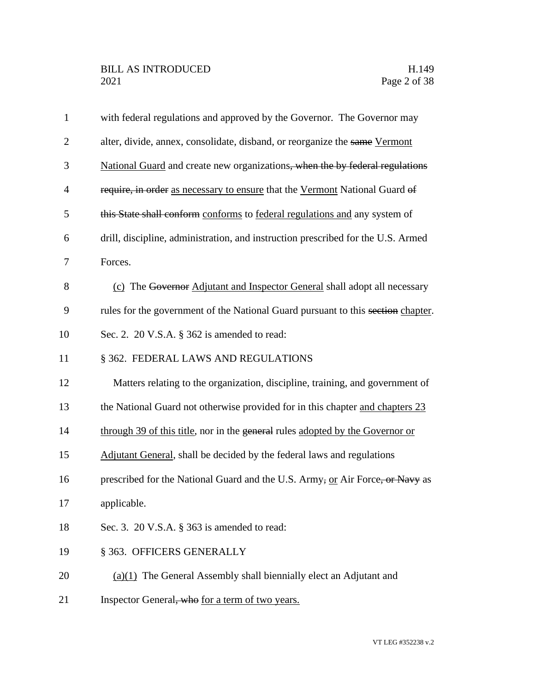| $\mathbf{1}$   | with federal regulations and approved by the Governor. The Governor may          |
|----------------|----------------------------------------------------------------------------------|
| $\overline{2}$ | alter, divide, annex, consolidate, disband, or reorganize the same Vermont       |
| 3              | National Guard and create new organizations, when the by federal regulations     |
| $\overline{4}$ | require, in order as necessary to ensure that the Vermont National Guard of      |
| 5              | this State shall conform conforms to federal regulations and any system of       |
| 6              | drill, discipline, administration, and instruction prescribed for the U.S. Armed |
| $\tau$         | Forces.                                                                          |
| 8              | (c) The Governor Adjutant and Inspector General shall adopt all necessary        |
| 9              | rules for the government of the National Guard pursuant to this section chapter. |
| 10             | Sec. 2. 20 V.S.A. § 362 is amended to read:                                      |
| 11             | § 362. FEDERAL LAWS AND REGULATIONS                                              |
| 12             | Matters relating to the organization, discipline, training, and government of    |
| 13             | the National Guard not otherwise provided for in this chapter and chapters 23    |
| 14             | through 39 of this title, nor in the general rules adopted by the Governor or    |
| 15             | Adjutant General, shall be decided by the federal laws and regulations           |
| 16             | prescribed for the National Guard and the U.S. Army, or Air Force, or Navy as    |
| 17             | applicable.                                                                      |
| 18             | Sec. 3. 20 V.S.A. § 363 is amended to read:                                      |
| 19             | § 363. OFFICERS GENERALLY                                                        |
| 20             | $(a)(1)$ The General Assembly shall biennially elect an Adjutant and             |
| 21             | Inspector General, who for a term of two years.                                  |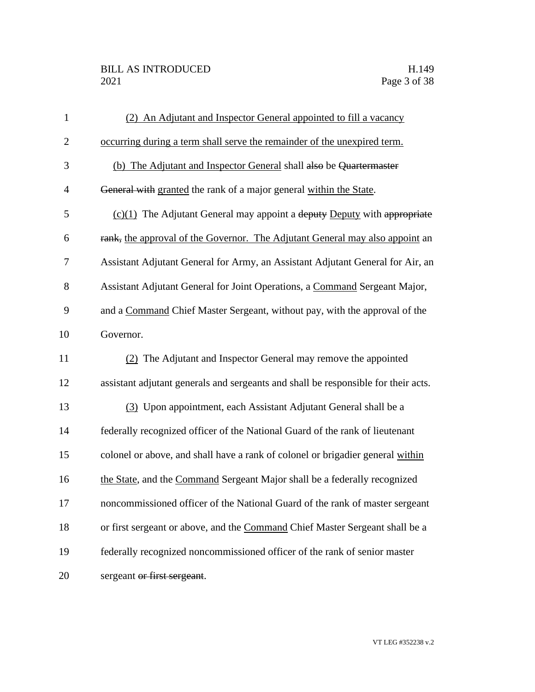## BILL AS INTRODUCED H.149<br>2021 Page 3 of 38

| $\mathbf{1}$   | (2) An Adjutant and Inspector General appointed to fill a vacancy                  |
|----------------|------------------------------------------------------------------------------------|
| $\overline{2}$ | occurring during a term shall serve the remainder of the unexpired term.           |
| 3              | (b) The Adjutant and Inspector General shall also be Quartermaster                 |
| $\overline{4}$ | General with granted the rank of a major general within the State.                 |
| 5              | $(c)(1)$ The Adjutant General may appoint a deputy Deputy with appropriate         |
| 6              | rank, the approval of the Governor. The Adjutant General may also appoint an       |
| 7              | Assistant Adjutant General for Army, an Assistant Adjutant General for Air, an     |
| 8              | Assistant Adjutant General for Joint Operations, a Command Sergeant Major,         |
| 9              | and a Command Chief Master Sergeant, without pay, with the approval of the         |
| 10             | Governor.                                                                          |
| 11             | (2) The Adjutant and Inspector General may remove the appointed                    |
| 12             | assistant adjutant generals and sergeants and shall be responsible for their acts. |
| 13             | (3) Upon appointment, each Assistant Adjutant General shall be a                   |
| 14             | federally recognized officer of the National Guard of the rank of lieutenant       |
| 15             | colonel or above, and shall have a rank of colonel or brigadier general within     |
| 16             | the State, and the Command Sergeant Major shall be a federally recognized          |
| 17             | noncommissioned officer of the National Guard of the rank of master sergeant       |
| 18             | or first sergeant or above, and the Command Chief Master Sergeant shall be a       |
| 19             | federally recognized noncommissioned officer of the rank of senior master          |
| 20             | sergeant or first sergeant.                                                        |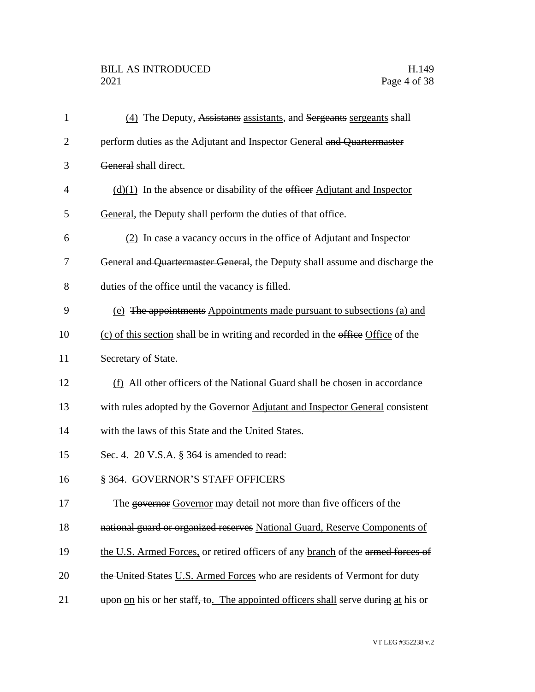# BILL AS INTRODUCED H.149<br>2021 Page 4 of 38

| $\mathbf{1}$   | (4) The Deputy, Assistants assistants, and Sergeants sergeants shall              |
|----------------|-----------------------------------------------------------------------------------|
| $\overline{2}$ | perform duties as the Adjutant and Inspector General and Quartermaster            |
| 3              | General shall direct.                                                             |
| 4              | $(d)(1)$ In the absence or disability of the efficer Adjutant and Inspector       |
| 5              | General, the Deputy shall perform the duties of that office.                      |
| 6              | (2) In case a vacancy occurs in the office of Adjutant and Inspector              |
| 7              | General and Quartermaster General, the Deputy shall assume and discharge the      |
| 8              | duties of the office until the vacancy is filled.                                 |
| 9              | (e) The appointments Appointments made pursuant to subsections (a) and            |
| 10             | (c) of this section shall be in writing and recorded in the office Office of the  |
| 11             | Secretary of State.                                                               |
| 12             | (f) All other officers of the National Guard shall be chosen in accordance        |
| 13             | with rules adopted by the Governor Adjutant and Inspector General consistent      |
| 14             | with the laws of this State and the United States.                                |
| 15             | Sec. 4. 20 V.S.A. § 364 is amended to read:                                       |
| 16             | § 364. GOVERNOR'S STAFF OFFICERS                                                  |
| 17             | The governor Governor may detail not more than five officers of the               |
| 18             | national guard or organized reserves National Guard, Reserve Components of        |
| 19             | the U.S. Armed Forces, or retired officers of any branch of the armed forces of   |
| 20             | the United States U.S. Armed Forces who are residents of Vermont for duty         |
| 21             | upon on his or her staff, to. The appointed officers shall serve during at his or |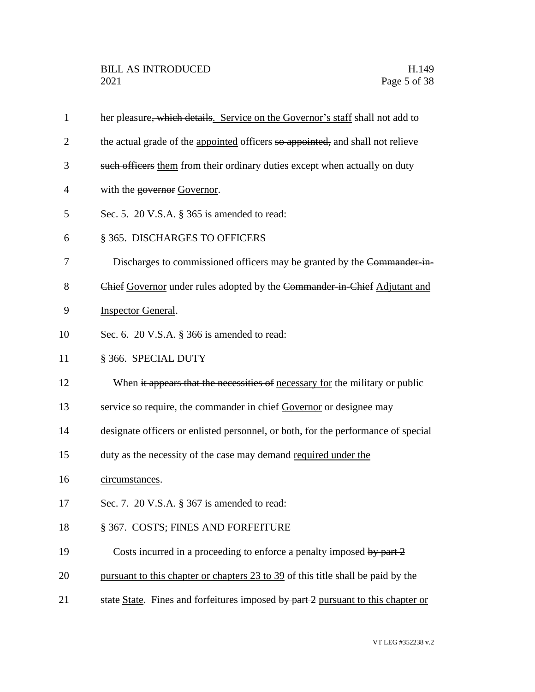| $\mathbf{1}$   | her pleasure, which details. Service on the Governor's staff shall not add to     |
|----------------|-----------------------------------------------------------------------------------|
| $\overline{2}$ | the actual grade of the appointed officers so appointed, and shall not relieve    |
| 3              | such officers them from their ordinary duties except when actually on duty        |
| 4              | with the governor Governor.                                                       |
| 5              | Sec. 5. 20 V.S.A. § 365 is amended to read:                                       |
| 6              | § 365. DISCHARGES TO OFFICERS                                                     |
| 7              | Discharges to commissioned officers may be granted by the Commander-in-           |
| 8              | Chief Governor under rules adopted by the Commander in Chief Adjutant and         |
| 9              | <b>Inspector General.</b>                                                         |
| 10             | Sec. 6. 20 V.S.A. § 366 is amended to read:                                       |
| 11             | § 366. SPECIAL DUTY                                                               |
| 12             | When it appears that the necessities of necessary for the military or public      |
| 13             | service so require, the commander in chief Governor or designee may               |
| 14             | designate officers or enlisted personnel, or both, for the performance of special |
| 15             | duty as the necessity of the case may demand required under the                   |
| 16             | circumstances.                                                                    |
| 17             | Sec. 7. 20 V.S.A. § 367 is amended to read:                                       |
| 18             | § 367. COSTS; FINES AND FORFEITURE                                                |
| 19             | Costs incurred in a proceeding to enforce a penalty imposed by part 2             |
| 20             | pursuant to this chapter or chapters 23 to 39 of this title shall be paid by the  |
| 21             | state State. Fines and forfeitures imposed by part 2 pursuant to this chapter or  |
|                |                                                                                   |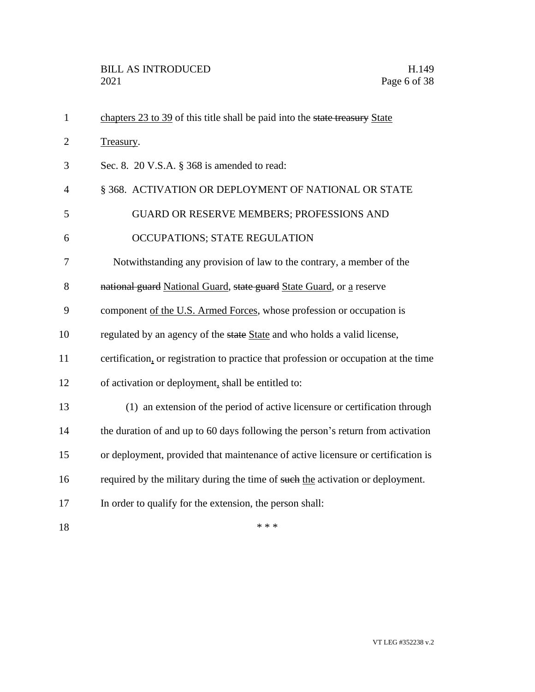| $\mathbf{1}$   | chapters 23 to 39 of this title shall be paid into the state treasury State          |
|----------------|--------------------------------------------------------------------------------------|
| $\overline{2}$ | Treasury.                                                                            |
| 3              | Sec. 8. 20 V.S.A. § 368 is amended to read:                                          |
| 4              | § 368. ACTIVATION OR DEPLOYMENT OF NATIONAL OR STATE                                 |
| 5              | GUARD OR RESERVE MEMBERS; PROFESSIONS AND                                            |
| 6              | OCCUPATIONS; STATE REGULATION                                                        |
| 7              | Notwithstanding any provision of law to the contrary, a member of the                |
| 8              | national guard National Guard, state guard State Guard, or a reserve                 |
| 9              | component of the U.S. Armed Forces, whose profession or occupation is                |
| 10             | regulated by an agency of the state State and who holds a valid license,             |
| 11             | certification, or registration to practice that profession or occupation at the time |
| 12             | of activation or deployment, shall be entitled to:                                   |
| 13             | (1) an extension of the period of active licensure or certification through          |
| 14             | the duration of and up to 60 days following the person's return from activation      |
| 15             | or deployment, provided that maintenance of active licensure or certification is     |
| 16             | required by the military during the time of such the activation or deployment.       |
| 17             | In order to qualify for the extension, the person shall:                             |
| 18             | * * *                                                                                |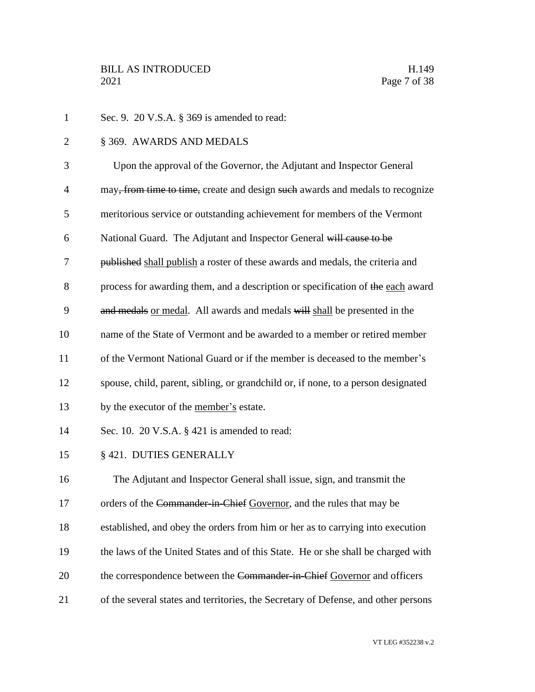Sec. 9. 20 V.S.A. § 369 is amended to read: § 369. AWARDS AND MEDALS Upon the approval of the Governor, the Adjutant and Inspector General 4 may<del>, from time to time,</del> create and design such awards and medals to recognize meritorious service or outstanding achievement for members of the Vermont 6 National Guard. The Adjutant and Inspector General will cause to be published shall publish a roster of these awards and medals, the criteria and 8 process for awarding them, and a description or specification of the each award 9 and medals or medal. All awards and medals will shall be presented in the name of the State of Vermont and be awarded to a member or retired member of the Vermont National Guard or if the member is deceased to the member's spouse, child, parent, sibling, or grandchild or, if none, to a person designated by the executor of the member's estate. Sec. 10. 20 V.S.A. § 421 is amended to read: § 421. DUTIES GENERALLY The Adjutant and Inspector General shall issue, sign, and transmit the 17 orders of the Commander-in-Chief Governor, and the rules that may be established, and obey the orders from him or her as to carrying into execution the laws of the United States and of this State. He or she shall be charged with 20 the correspondence between the Commander-in-Chief Governor and officers of the several states and territories, the Secretary of Defense, and other persons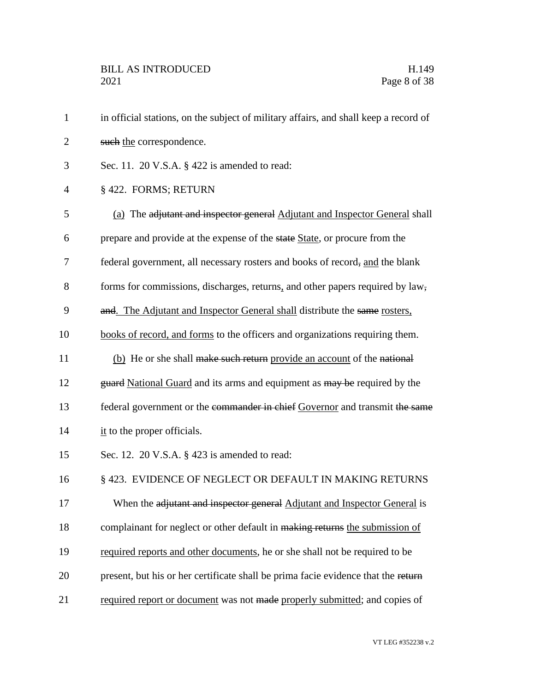| $\mathbf{1}$   | in official stations, on the subject of military affairs, and shall keep a record of |
|----------------|--------------------------------------------------------------------------------------|
| $\overline{2}$ | such the correspondence.                                                             |
| 3              | Sec. 11. 20 V.S.A. § 422 is amended to read:                                         |
| $\overline{4}$ | § 422. FORMS; RETURN                                                                 |
| 5              | (a) The adjutant and inspector general Adjutant and Inspector General shall          |
| 6              | prepare and provide at the expense of the state State, or procure from the           |
| 7              | federal government, all necessary rosters and books of record, and the blank         |
| 8              | forms for commissions, discharges, returns, and other papers required by law,        |
| 9              | and. The Adjutant and Inspector General shall distribute the same rosters,           |
| 10             | books of record, and forms to the officers and organizations requiring them.         |
| 11             | (b) He or she shall make such return provide an account of the national              |
| 12             | guard National Guard and its arms and equipment as may be required by the            |
| 13             | federal government or the commander in chief Governor and transmit the same          |
| 14             | $\frac{it}{dt}$ to the proper officials.                                             |
| 15             | Sec. 12. $20$ V.S.A. $\S$ 423 is amended to read:                                    |
| 16             | § 423. EVIDENCE OF NEGLECT OR DEFAULT IN MAKING RETURNS                              |
| 17             | When the adjutant and inspector general Adjutant and Inspector General is            |
| 18             | complainant for neglect or other default in making returns the submission of         |
| 19             | required reports and other documents, he or she shall not be required to be          |
| 20             | present, but his or her certificate shall be prima facie evidence that the return    |
| 21             | required report or document was not made properly submitted; and copies of           |
|                |                                                                                      |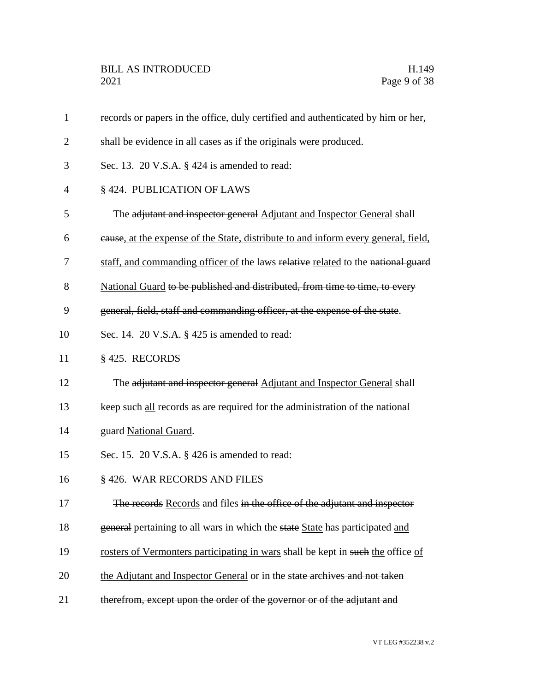records or papers in the office, duly certified and authenticated by him or her, shall be evidence in all cases as if the originals were produced. Sec. 13. 20 V.S.A. § 424 is amended to read: § 424. PUBLICATION OF LAWS The adjutant and inspector general Adjutant and Inspector General shall cause, at the expense of the State, distribute to and inform every general, field, 7 staff, and commanding officer of the laws relative related to the national guard 8 National Guard to be published and distributed, from time to time, to every general, field, staff and commanding officer, at the expense of the state. Sec. 14. 20 V.S.A. § 425 is amended to read: § 425. RECORDS 12 The adjutant and inspector general Adjutant and Inspector General shall 13 keep such all records as are required for the administration of the national **guard National Guard.**  Sec. 15. 20 V.S.A. § 426 is amended to read: § 426. WAR RECORDS AND FILES The records Records and files in the office of the adjutant and inspector 18 general pertaining to all wars in which the state State has participated and 19 rosters of Vermonters participating in wars shall be kept in such the office of 20 the Adjutant and Inspector General or in the state archives and not taken 21 therefrom, except upon the order of the governor or of the adjutant and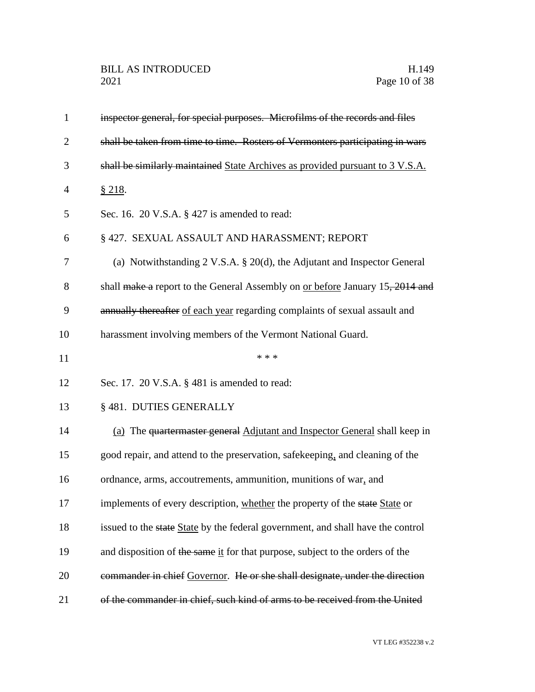| $\mathbf{1}$   | inspector general, for special purposes. Microfilms of the records and files         |
|----------------|--------------------------------------------------------------------------------------|
| $\overline{2}$ | shall be taken from time to time. Rosters of Vermonters participating in wars        |
| 3              | shall be similarly maintained State Archives as provided pursuant to 3 V.S.A.        |
| $\overline{4}$ | § 218.                                                                               |
| 5              | Sec. 16. 20 V.S.A. $\S$ 427 is amended to read:                                      |
| 6              | § 427. SEXUAL ASSAULT AND HARASSMENT; REPORT                                         |
| 7              | (a) Notwithstanding $2 \text{ V.S.A. } § 20(d)$ , the Adjutant and Inspector General |
| 8              | shall make a report to the General Assembly on or before January 15, 2014 and        |
| 9              | annually thereafter of each year regarding complaints of sexual assault and          |
| 10             | harassment involving members of the Vermont National Guard.                          |
| 11             | * * *                                                                                |
| 12             | Sec. 17. 20 V.S.A. § 481 is amended to read:                                         |
| 13             | § 481. DUTIES GENERALLY                                                              |
| 14             | (a) The quartermaster general Adjutant and Inspector General shall keep in           |
| 15             | good repair, and attend to the preservation, safekeeping, and cleaning of the        |
| 16             | ordnance, arms, accoutrements, ammunition, munitions of war, and                     |
| 17             | implements of every description, whether the property of the state State or          |
| 18             | issued to the state State by the federal government, and shall have the control      |
| 19             | and disposition of the same it for that purpose, subject to the orders of the        |
| 20             | commander in chief Governor. He or she shall designate, under the direction          |
| 21             | of the commander in chief, such kind of arms to be received from the United          |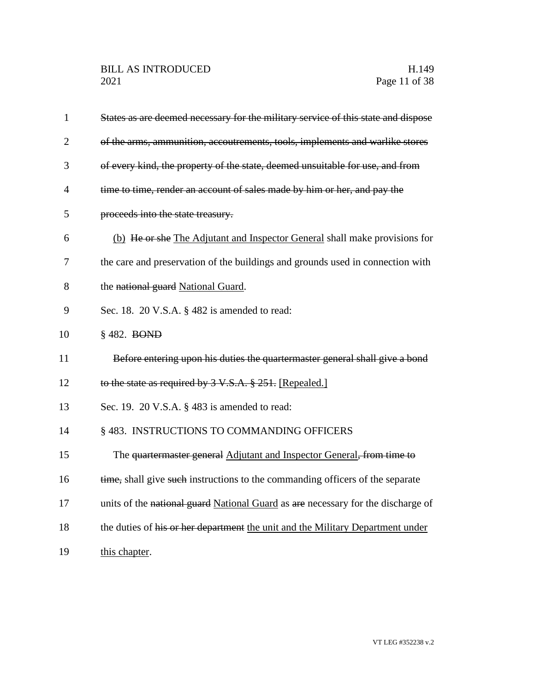| $\mathbf{1}$   | States as are deemed necessary for the military service of this state and dispose |
|----------------|-----------------------------------------------------------------------------------|
| $\overline{2}$ | of the arms, ammunition, accoutrements, tools, implements and warlike stores      |
| 3              | of every kind, the property of the state, deemed unsuitable for use, and from     |
| $\overline{4}$ | time to time, render an account of sales made by him or her, and pay the          |
| 5              | proceeds into the state treasury.                                                 |
| 6              | (b) He or she The Adjutant and Inspector General shall make provisions for        |
| 7              | the care and preservation of the buildings and grounds used in connection with    |
| 8              | the national guard National Guard.                                                |
| 9              | Sec. 18. 20 V.S.A. § 482 is amended to read:                                      |
| 10             | § 482. BOND                                                                       |
| 11             | Before entering upon his duties the quartermaster general shall give a bond       |
| 12             | to the state as required by 3 V.S.A. § 251. [Repealed.]                           |
| 13             | Sec. 19. 20 V.S.A. § 483 is amended to read:                                      |
| 14             | § 483. INSTRUCTIONS TO COMMANDING OFFICERS                                        |
| 15             | The quartermaster general Adjutant and Inspector General, from time to            |
| 16             | time, shall give such instructions to the commanding officers of the separate     |
| 17             | units of the national guard National Guard as are necessary for the discharge of  |
| 18             | the duties of his or her department the unit and the Military Department under    |
| 19             | this chapter.                                                                     |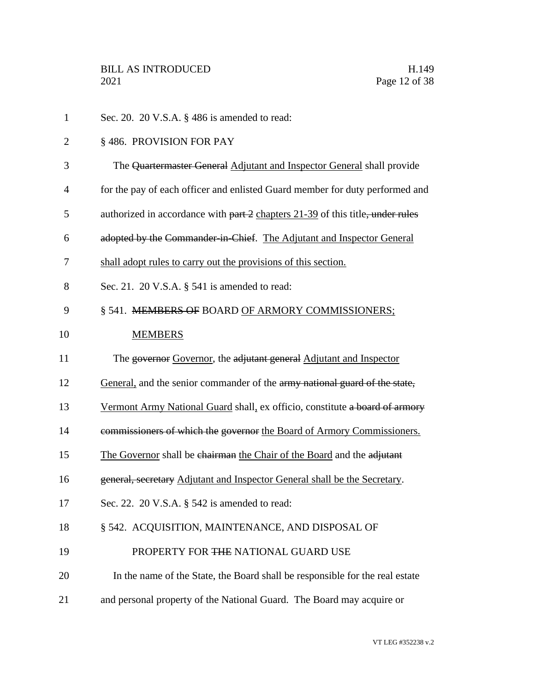| $\mathbf{1}$   | Sec. 20. 20 V.S.A. § 486 is amended to read:                                   |
|----------------|--------------------------------------------------------------------------------|
| $\overline{2}$ | §486. PROVISION FOR PAY                                                        |
| 3              | The Quartermaster General Adjutant and Inspector General shall provide         |
| $\overline{4}$ | for the pay of each officer and enlisted Guard member for duty performed and   |
| 5              | authorized in accordance with part 2 chapters 21-39 of this title, under rules |
| 6              | adopted by the Commander in Chief. The Adjutant and Inspector General          |
| 7              | shall adopt rules to carry out the provisions of this section.                 |
| 8              | Sec. 21. 20 V.S.A. § 541 is amended to read:                                   |
| 9              | § 541. MEMBERS OF BOARD OF ARMORY COMMISSIONERS;                               |
| 10             | <b>MEMBERS</b>                                                                 |
| 11             | The governor Governor, the adjutant general Adjutant and Inspector             |
| 12             | General, and the senior commander of the army national guard of the state,     |
| 13             | Vermont Army National Guard shall, ex officio, constitute a board of armory    |
| 14             | commissioners of which the governor the Board of Armory Commissioners.         |
| 15             | The Governor shall be chairman the Chair of the Board and the adjutant         |
| 16             | general, secretary Adjutant and Inspector General shall be the Secretary.      |
| 17             | Sec. 22. 20 V.S.A. § 542 is amended to read:                                   |
| 18             | § 542. ACQUISITION, MAINTENANCE, AND DISPOSAL OF                               |
| 19             | PROPERTY FOR THE NATIONAL GUARD USE                                            |
| 20             | In the name of the State, the Board shall be responsible for the real estate   |
| 21             | and personal property of the National Guard. The Board may acquire or          |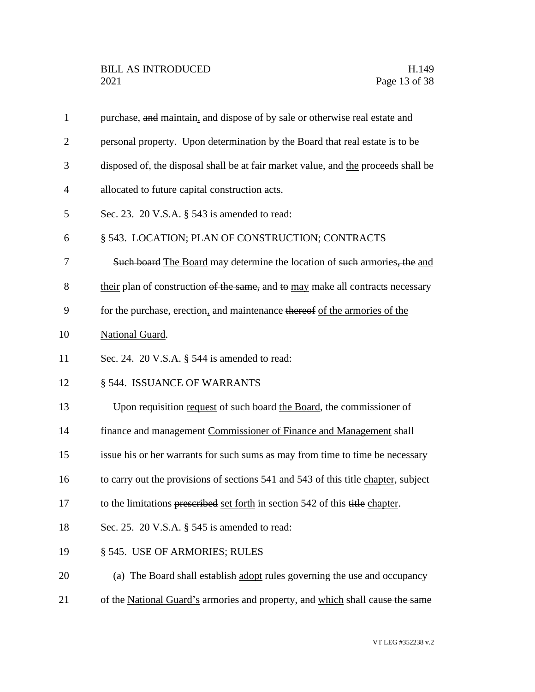| $\mathbf{1}$   | purchase, and maintain, and dispose of by sale or otherwise real estate and        |
|----------------|------------------------------------------------------------------------------------|
| $\overline{2}$ | personal property. Upon determination by the Board that real estate is to be       |
| 3              | disposed of, the disposal shall be at fair market value, and the proceeds shall be |
| $\overline{4}$ | allocated to future capital construction acts.                                     |
| 5              | Sec. 23. 20 V.S.A. § 543 is amended to read:                                       |
| 6              | § 543. LOCATION; PLAN OF CONSTRUCTION; CONTRACTS                                   |
| 7              | Such board The Board may determine the location of such armories, the and          |
| 8              | their plan of construction of the same, and to may make all contracts necessary    |
| 9              | for the purchase, erection, and maintenance thereof of the armories of the         |
| 10             | National Guard.                                                                    |
| 11             | Sec. 24. 20 V.S.A. $\S$ 544 is amended to read:                                    |
| 12             | § 544. ISSUANCE OF WARRANTS                                                        |
| 13             | Upon requisition request of such board the Board, the commissioner of              |
| 14             | finance and management Commissioner of Finance and Management shall                |
| 15             | issue his or her warrants for such sums as may from time to time be necessary      |
| 16             | to carry out the provisions of sections 541 and 543 of this title chapter, subject |
| 17             | to the limitations prescribed set forth in section 542 of this title chapter.      |
| 18             | Sec. 25. 20 V.S.A. $\S$ 545 is amended to read:                                    |
| 19             | § 545. USE OF ARMORIES; RULES                                                      |
| 20             | (a) The Board shall establish adopt rules governing the use and occupancy          |
| 21             | of the National Guard's armories and property, and which shall cause the same      |
|                |                                                                                    |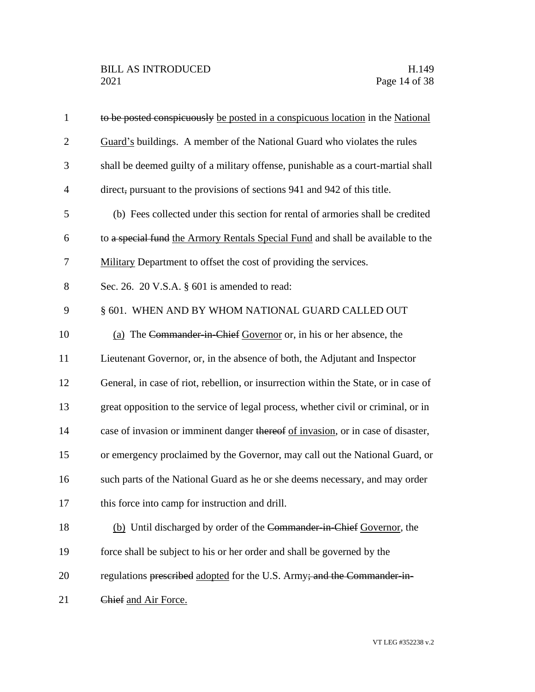| $\mathbf{1}$   | to be posted conspicuously be posted in a conspicuous location in the National       |
|----------------|--------------------------------------------------------------------------------------|
| $\overline{2}$ | Guard's buildings. A member of the National Guard who violates the rules             |
| 3              | shall be deemed guilty of a military offense, punishable as a court-martial shall    |
| $\overline{4}$ | direct, pursuant to the provisions of sections 941 and 942 of this title.            |
| 5              | (b) Fees collected under this section for rental of armories shall be credited       |
| 6              | to a special fund the Armory Rentals Special Fund and shall be available to the      |
| 7              | Military Department to offset the cost of providing the services.                    |
| $8\,$          | Sec. 26. 20 V.S.A. $\S$ 601 is amended to read:                                      |
| 9              | § 601. WHEN AND BY WHOM NATIONAL GUARD CALLED OUT                                    |
| 10             | (a) The Commander in Chief Governor or, in his or her absence, the                   |
| 11             | Lieutenant Governor, or, in the absence of both, the Adjutant and Inspector          |
| 12             | General, in case of riot, rebellion, or insurrection within the State, or in case of |
| 13             | great opposition to the service of legal process, whether civil or criminal, or in   |
| 14             | case of invasion or imminent danger thereof of invasion, or in case of disaster,     |
| 15             | or emergency proclaimed by the Governor, may call out the National Guard, or         |
| 16             | such parts of the National Guard as he or she deems necessary, and may order         |
| 17             | this force into camp for instruction and drill.                                      |
| 18             | (b) Until discharged by order of the Commander in Chief Governor, the                |
| 19             | force shall be subject to his or her order and shall be governed by the              |
| 20             | regulations prescribed adopted for the U.S. Army; and the Commander-in-              |
| 21             | Chief and Air Force.                                                                 |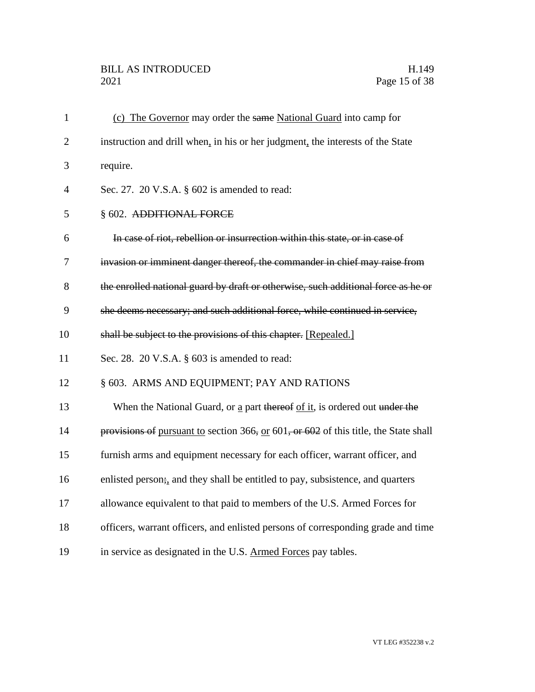| $\mathbf{1}$   | (c) The Governor may order the same National Guard into camp for                          |
|----------------|-------------------------------------------------------------------------------------------|
| $\overline{2}$ | instruction and drill when, in his or her judgment, the interests of the State            |
| 3              | require.                                                                                  |
| $\overline{4}$ | Sec. 27. 20 V.S.A. § 602 is amended to read:                                              |
| 5              | § 602. ADDITIONAL FORCE                                                                   |
| 6              | In case of riot, rebellion or insurrection within this state, or in case of               |
| 7              | invasion or imminent danger thereof, the commander in chief may raise from                |
| 8              | the enrolled national guard by draft or otherwise, such additional force as he or         |
| 9              | she deems necessary; and such additional force, while continued in service,               |
| 10             | shall be subject to the provisions of this chapter. [Repealed.]                           |
| 11             | Sec. 28. 20 V.S.A. $\S$ 603 is amended to read:                                           |
| 12             | § 603. ARMS AND EQUIPMENT; PAY AND RATIONS                                                |
| 13             | When the National Guard, or a part thereof of it, is ordered out under the                |
| 14             | provisions of pursuant to section 366, or $601$ , or $602$ of this title, the State shall |
| 15             | furnish arms and equipment necessary for each officer, warrant officer, and               |
| 16             | enlisted person; and they shall be entitled to pay, subsistence, and quarters             |
| 17             | allowance equivalent to that paid to members of the U.S. Armed Forces for                 |
| 18             | officers, warrant officers, and enlisted persons of corresponding grade and time          |
| 19             | in service as designated in the U.S. Armed Forces pay tables.                             |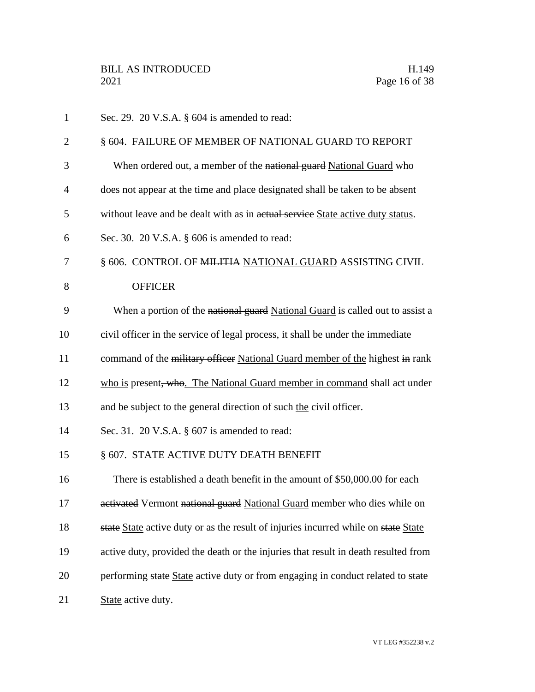| $\mathbf{1}$   | Sec. 29. 20 V.S.A. $\S$ 604 is amended to read:                                    |
|----------------|------------------------------------------------------------------------------------|
| $\overline{2}$ | § 604. FAILURE OF MEMBER OF NATIONAL GUARD TO REPORT                               |
| 3              | When ordered out, a member of the national guard National Guard who                |
| 4              | does not appear at the time and place designated shall be taken to be absent       |
| 5              | without leave and be dealt with as in actual service State active duty status.     |
| 6              | Sec. 30. $20$ V.S.A. $\S$ 606 is amended to read:                                  |
| 7              | § 606. CONTROL OF MILITIA NATIONAL GUARD ASSISTING CIVIL                           |
| 8              | <b>OFFICER</b>                                                                     |
| 9              | When a portion of the national guard National Guard is called out to assist a      |
| 10             | civil officer in the service of legal process, it shall be under the immediate     |
| 11             | command of the military officer National Guard member of the highest in rank       |
| 12             | who is present, who. The National Guard member in command shall act under          |
| 13             | and be subject to the general direction of such the civil officer.                 |
| 14             | Sec. 31. 20 V.S.A. $\S$ 607 is amended to read:                                    |
| 15             | § 607. STATE ACTIVE DUTY DEATH BENEFIT                                             |
| 16             | There is established a death benefit in the amount of \$50,000.00 for each         |
| 17             | activated Vermont national guard National Guard member who dies while on           |
| 18             | state State active duty or as the result of injuries incurred while on state State |
| 19             | active duty, provided the death or the injuries that result in death resulted from |
| 20             | performing state State active duty or from engaging in conduct related to state    |
| 21             | State active duty.                                                                 |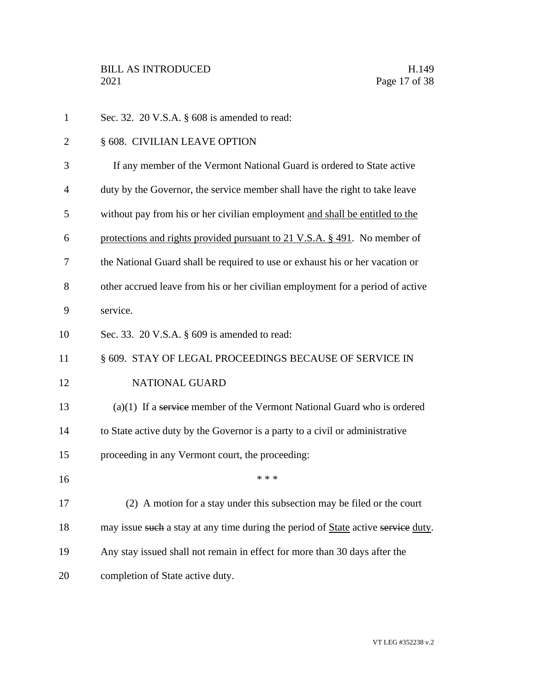| $\mathbf{1}$   | Sec. 32. $20$ V.S.A. $\S$ 608 is amended to read:                                 |
|----------------|-----------------------------------------------------------------------------------|
| $\overline{2}$ | § 608. CIVILIAN LEAVE OPTION                                                      |
| 3              | If any member of the Vermont National Guard is ordered to State active            |
| $\overline{4}$ | duty by the Governor, the service member shall have the right to take leave       |
| 5              | without pay from his or her civilian employment and shall be entitled to the      |
| 6              | protections and rights provided pursuant to 21 V.S.A. § 491. No member of         |
| 7              | the National Guard shall be required to use or exhaust his or her vacation or     |
| 8              | other accrued leave from his or her civilian employment for a period of active    |
| 9              | service.                                                                          |
| 10             | Sec. 33. 20 V.S.A. § 609 is amended to read:                                      |
| 11             | § 609. STAY OF LEGAL PROCEEDINGS BECAUSE OF SERVICE IN                            |
| 12             | NATIONAL GUARD                                                                    |
| 13             | $(a)(1)$ If a service member of the Vermont National Guard who is ordered         |
| 14             | to State active duty by the Governor is a party to a civil or administrative      |
| 15             | proceeding in any Vermont court, the proceeding:                                  |
| 16             | * * *                                                                             |
| 17             | (2) A motion for a stay under this subsection may be filed or the court           |
| 18             | may issue such a stay at any time during the period of State active service duty. |
| 19             | Any stay issued shall not remain in effect for more than 30 days after the        |
| 20             | completion of State active duty.                                                  |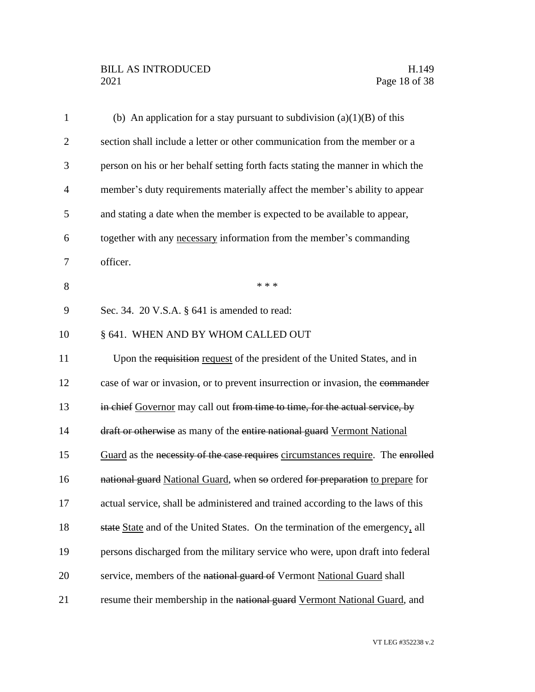## BILL AS INTRODUCED H.149<br>2021 Page 18 of 38

| $\mathbf{1}$   | (b) An application for a stay pursuant to subdivision $(a)(1)(B)$ of this       |
|----------------|---------------------------------------------------------------------------------|
| $\overline{2}$ | section shall include a letter or other communication from the member or a      |
| 3              | person on his or her behalf setting forth facts stating the manner in which the |
| $\overline{4}$ | member's duty requirements materially affect the member's ability to appear     |
| 5              | and stating a date when the member is expected to be available to appear,       |
| 6              | together with any necessary information from the member's commanding            |
| $\overline{7}$ | officer.                                                                        |
| 8              | * * *                                                                           |
| 9              | Sec. 34. $20$ V.S.A. $\S$ 641 is amended to read:                               |
| 10             | § 641. WHEN AND BY WHOM CALLED OUT                                              |
| 11             | Upon the requisition request of the president of the United States, and in      |
| 12             | case of war or invasion, or to prevent insurrection or invasion, the commander  |
| 13             | in chief Governor may call out from time to time, for the actual service, by    |
| 14             | draft or otherwise as many of the entire national guard Vermont National        |
| 15             | Guard as the necessity of the case requires circumstances require. The enrolled |
| 16             | national guard National Guard, when so ordered for preparation to prepare for   |
| 17             | actual service, shall be administered and trained according to the laws of this |
| 18             | state State and of the United States. On the termination of the emergency, all  |
| 19             | persons discharged from the military service who were, upon draft into federal  |
| 20             | service, members of the national guard of Vermont National Guard shall          |
| 21             | resume their membership in the national guard Vermont National Guard, and       |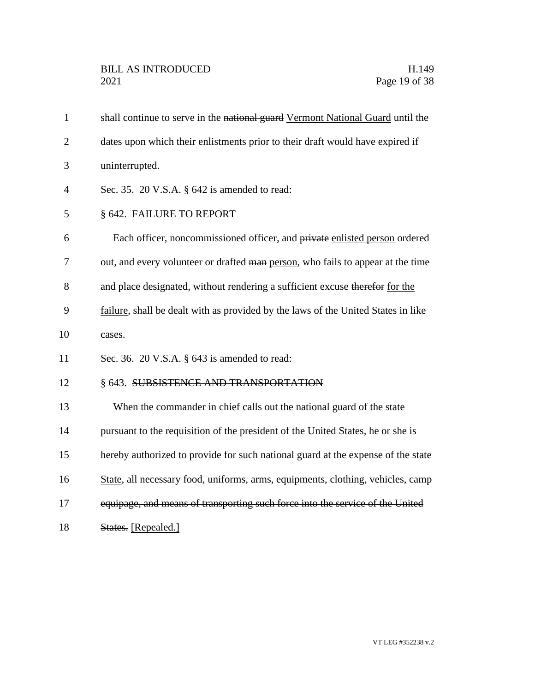| $\mathbf{1}$   | shall continue to serve in the national guard Vermont National Guard until the    |
|----------------|-----------------------------------------------------------------------------------|
| $\overline{2}$ | dates upon which their enlistments prior to their draft would have expired if     |
| 3              | uninterrupted.                                                                    |
| 4              | Sec. 35. 20 V.S.A. $\S$ 642 is amended to read:                                   |
| 5              | § 642. FAILURE TO REPORT                                                          |
| 6              | Each officer, noncommissioned officer, and private enlisted person ordered        |
| 7              | out, and every volunteer or drafted man person, who fails to appear at the time   |
| 8              | and place designated, without rendering a sufficient excuse therefor for the      |
| 9              | failure, shall be dealt with as provided by the laws of the United States in like |
| 10             | cases.                                                                            |
| 11             | Sec. 36. 20 V.S.A. $\S$ 643 is amended to read:                                   |
| 12             | § 643. SUBSISTENCE AND TRANSPORTATION                                             |
| 13             | When the commander in chief calls out the national guard of the state             |
| 14             | pursuant to the requisition of the president of the United States, he or she is   |
| 15             | hereby authorized to provide for such national guard at the expense of the state  |
| 16             | State, all necessary food, uniforms, arms, equipments, clothing, vehicles, camp   |
| 17             | equipage, and means of transporting such force into the service of the United     |
| 18             | States. [Repealed.]                                                               |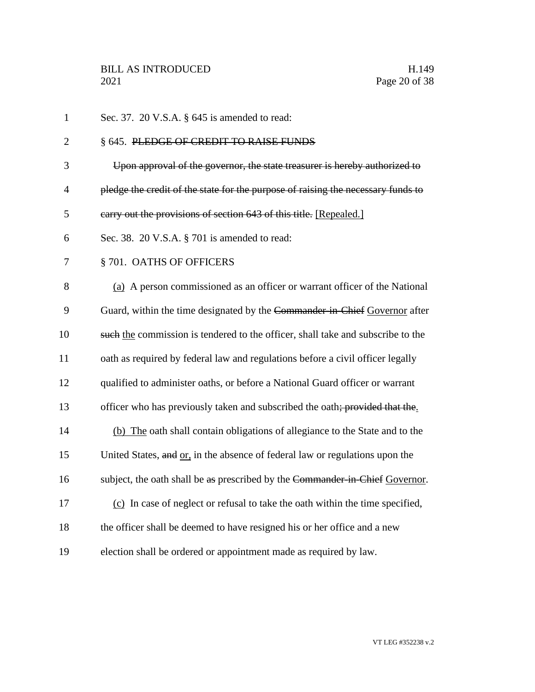| $\mathbf{1}$   | Sec. 37. 20 V.S.A. § 645 is amended to read:                                     |
|----------------|----------------------------------------------------------------------------------|
| $\overline{2}$ | § 645. PLEDGE OF CREDIT TO RAISE FUNDS                                           |
| 3              | Upon approval of the governor, the state treasurer is hereby authorized to       |
| $\overline{4}$ | pledge the credit of the state for the purpose of raising the necessary funds to |
| 5              | carry out the provisions of section 643 of this title. [Repealed.]               |
| 6              | Sec. 38. 20 V.S.A. § 701 is amended to read:                                     |
| 7              | §701. OATHS OF OFFICERS                                                          |
| 8              | (a) A person commissioned as an officer or warrant officer of the National       |
| 9              | Guard, within the time designated by the Commander-in-Chief Governor after       |
| 10             | such the commission is tendered to the officer, shall take and subscribe to the  |
| 11             | oath as required by federal law and regulations before a civil officer legally   |
| 12             | qualified to administer oaths, or before a National Guard officer or warrant     |
| 13             | officer who has previously taken and subscribed the oath; provided that the.     |
| 14             | (b) The oath shall contain obligations of allegiance to the State and to the     |
| 15             | United States, and or, in the absence of federal law or regulations upon the     |
| 16             | subject, the oath shall be as prescribed by the Commander in Chief Governor.     |
| 17             | (c) In case of neglect or refusal to take the oath within the time specified,    |
| 18             | the officer shall be deemed to have resigned his or her office and a new         |
| 19             | election shall be ordered or appointment made as required by law.                |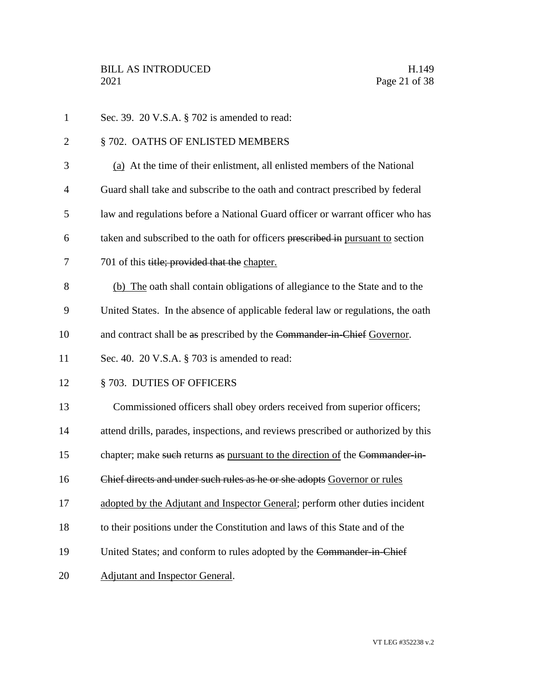| $\mathbf{1}$   | Sec. 39. 20 V.S.A. § 702 is amended to read:                                      |
|----------------|-----------------------------------------------------------------------------------|
| $\overline{2}$ | § 702. OATHS OF ENLISTED MEMBERS                                                  |
| 3              | (a) At the time of their enlistment, all enlisted members of the National         |
| $\overline{4}$ | Guard shall take and subscribe to the oath and contract prescribed by federal     |
| 5              | law and regulations before a National Guard officer or warrant officer who has    |
| 6              | taken and subscribed to the oath for officers prescribed in pursuant to section   |
| 7              | 701 of this title; provided that the chapter.                                     |
| 8              | (b) The oath shall contain obligations of allegiance to the State and to the      |
| 9              | United States. In the absence of applicable federal law or regulations, the oath  |
| 10             | and contract shall be as prescribed by the Commander-in-Chief Governor.           |
| 11             | Sec. 40. 20 V.S.A. § 703 is amended to read:                                      |
| 12             | § 703. DUTIES OF OFFICERS                                                         |
| 13             | Commissioned officers shall obey orders received from superior officers;          |
| 14             | attend drills, parades, inspections, and reviews prescribed or authorized by this |
| 15             | chapter; make such returns as pursuant to the direction of the Commander-in-      |
| 16             | Chief directs and under such rules as he or she adopts Governor or rules          |
| 17             | adopted by the Adjutant and Inspector General; perform other duties incident      |
| 18             | to their positions under the Constitution and laws of this State and of the       |
| 19             | United States; and conform to rules adopted by the Commander in Chief             |
| 20             | <b>Adjutant and Inspector General.</b>                                            |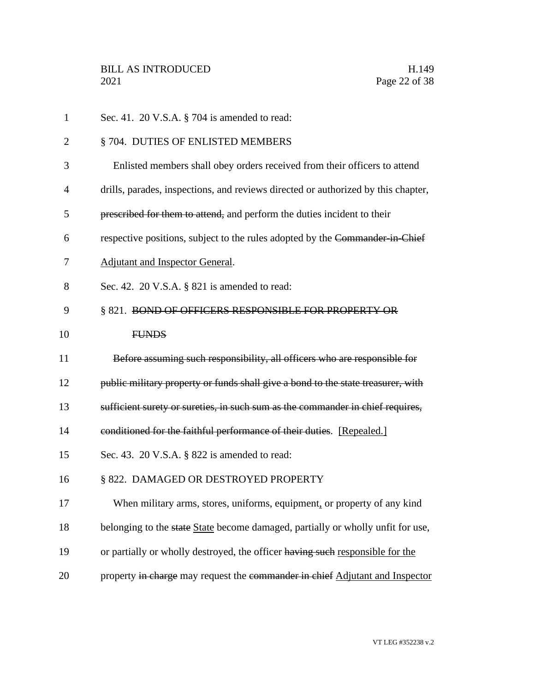| $\mathbf{1}$   | Sec. 41. 20 V.S.A. § 704 is amended to read:                                      |
|----------------|-----------------------------------------------------------------------------------|
| $\overline{2}$ | § 704. DUTIES OF ENLISTED MEMBERS                                                 |
| 3              | Enlisted members shall obey orders received from their officers to attend         |
| 4              | drills, parades, inspections, and reviews directed or authorized by this chapter, |
| 5              | prescribed for them to attend, and perform the duties incident to their           |
| 6              | respective positions, subject to the rules adopted by the Commander in Chief      |
| 7              | <b>Adjutant and Inspector General.</b>                                            |
| 8              | Sec. 42. 20 V.S.A. § 821 is amended to read:                                      |
| 9              | § 821. BOND OF OFFICERS RESPONSIBLE FOR PROPERTY OR                               |
| 10             | <b>FUNDS</b>                                                                      |
| 11             | Before assuming such responsibility, all officers who are responsible for         |
| 12             | public military property or funds shall give a bond to the state treasurer, with  |
| 13             | sufficient surety or sureties, in such sum as the commander in chief requires,    |
| 14             | conditioned for the faithful performance of their duties. [Repealed.]             |
| 15             | Sec. 43. 20 V.S.A. § 822 is amended to read:                                      |
| 16             | § 822. DAMAGED OR DESTROYED PROPERTY                                              |
| 17             | When military arms, stores, uniforms, equipment, or property of any kind          |
| 18             | belonging to the state State become damaged, partially or wholly unfit for use,   |
| 19             | or partially or wholly destroyed, the officer having such responsible for the     |
| 20             | property in charge may request the commander in chief Adjutant and Inspector      |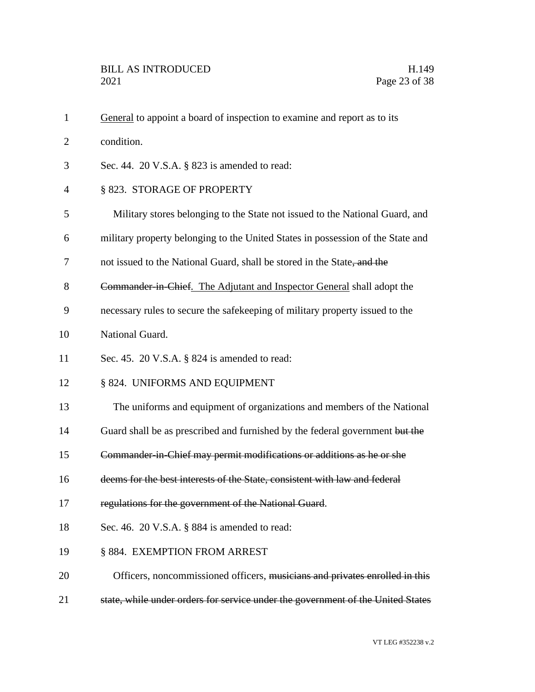1 General to appoint a board of inspection to examine and report as to its condition. Sec. 44. 20 V.S.A. § 823 is amended to read: § 823. STORAGE OF PROPERTY Military stores belonging to the State not issued to the National Guard, and military property belonging to the United States in possession of the State and 7 not issued to the National Guard, shall be stored in the State, and the **Commander in Chief.** The Adjutant and Inspector General shall adopt the necessary rules to secure the safekeeping of military property issued to the National Guard. Sec. 45. 20 V.S.A. § 824 is amended to read: § 824. UNIFORMS AND EQUIPMENT The uniforms and equipment of organizations and members of the National 14 Guard shall be as prescribed and furnished by the federal government but the Commander-in-Chief may permit modifications or additions as he or she deems for the best interests of the State, consistent with law and federal 17 regulations for the government of the National Guard. Sec. 46. 20 V.S.A. § 884 is amended to read: § 884. EXEMPTION FROM ARREST 20 Officers, noncommissioned officers, musicians and privates enrolled in this state, while under orders for service under the government of the United States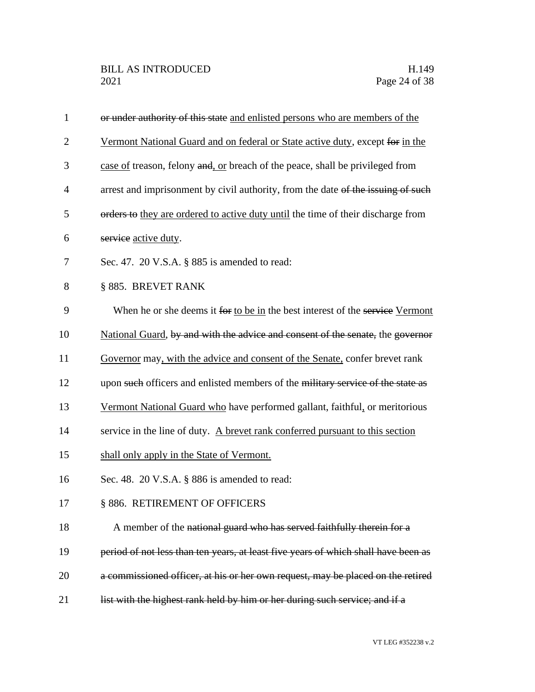| $\mathbf{1}$   | or under authority of this state and enlisted persons who are members of the       |
|----------------|------------------------------------------------------------------------------------|
| $\overline{2}$ | Vermont National Guard and on federal or State active duty, except for in the      |
| 3              | case of treason, felony and, or breach of the peace, shall be privileged from      |
| $\overline{4}$ | arrest and imprisonment by civil authority, from the date of the issuing of such   |
| 5              | orders to they are ordered to active duty until the time of their discharge from   |
| 6              | service active duty.                                                               |
| 7              | Sec. 47. 20 V.S.A. § 885 is amended to read:                                       |
| 8              | § 885. BREVET RANK                                                                 |
| 9              | When he or she deems it for to be in the best interest of the service Vermont      |
| 10             | National Guard, by and with the advice and consent of the senate, the governor     |
| 11             | Governor may, with the advice and consent of the Senate, confer brevet rank        |
| 12             | upon such officers and enlisted members of the military service of the state as    |
| 13             | Vermont National Guard who have performed gallant, faithful, or meritorious        |
| 14             | service in the line of duty. A brevet rank conferred pursuant to this section      |
| 15             | shall only apply in the State of Vermont.                                          |
| 16             | Sec. 48. 20 V.S.A. § 886 is amended to read:                                       |
| 17             | § 886. RETIREMENT OF OFFICERS                                                      |
| 18             | A member of the national guard who has served faithfully therein for a             |
| 19             | period of not less than ten years, at least five years of which shall have been as |
| 20             | a commissioned officer, at his or her own request, may be placed on the retired    |
| 21             | list with the highest rank held by him or her during such service; and if a        |
|                |                                                                                    |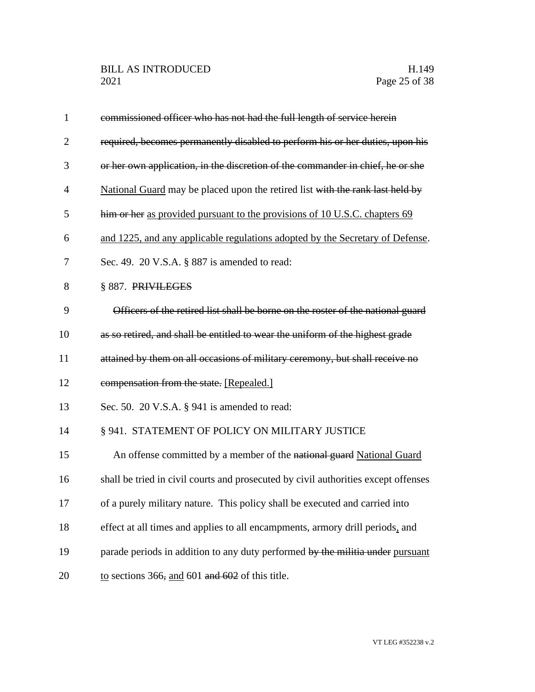| $\mathbf{1}$   | commissioned officer who has not had the full length of service herein             |
|----------------|------------------------------------------------------------------------------------|
| $\overline{2}$ | required, becomes permanently disabled to perform his or her duties, upon his      |
| 3              | or her own application, in the discretion of the commander in chief, he or she     |
| $\overline{4}$ | National Guard may be placed upon the retired list with the rank last held by      |
| 5              | him or her as provided pursuant to the provisions of 10 U.S.C. chapters 69         |
| 6              | and 1225, and any applicable regulations adopted by the Secretary of Defense.      |
| 7              | Sec. 49. 20 V.S.A. § 887 is amended to read:                                       |
| 8              | § 887. PRIVILEGES                                                                  |
| 9              | Officers of the retired list shall be borne on the roster of the national guard    |
| 10             | as so retired, and shall be entitled to wear the uniform of the highest grade      |
| 11             | attained by them on all occasions of military ceremony, but shall receive no       |
| 12             | compensation from the state. [Repealed.]                                           |
| 13             | Sec. 50. $20$ V.S.A. § 941 is amended to read:                                     |
| 14             | § 941. STATEMENT OF POLICY ON MILITARY JUSTICE                                     |
| 15             | An offense committed by a member of the national guard National Guard              |
| 16             | shall be tried in civil courts and prosecuted by civil authorities except offenses |
| 17             | of a purely military nature. This policy shall be executed and carried into        |
| 18             | effect at all times and applies to all encampments, armory drill periods, and      |
| 19             | parade periods in addition to any duty performed by the militia under pursuant     |
| 20             | to sections 366, and 601 and $602$ of this title.                                  |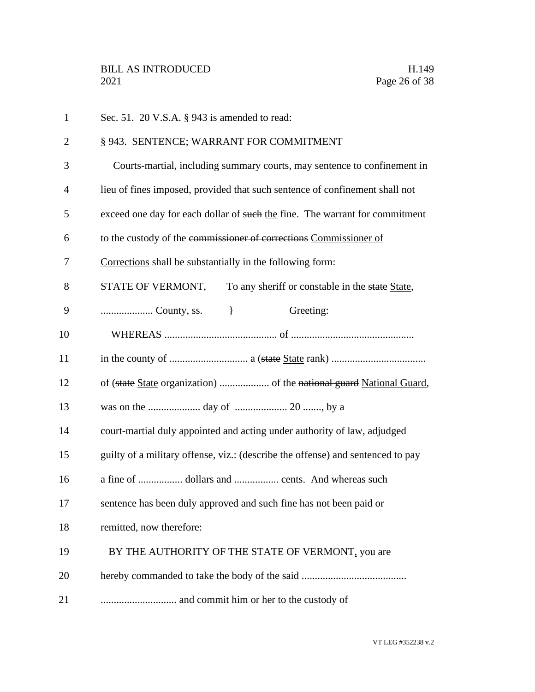| $\mathbf{1}$   | Sec. 51. 20 V.S.A. § 943 is amended to read:                                    |
|----------------|---------------------------------------------------------------------------------|
| $\overline{2}$ | § 943. SENTENCE; WARRANT FOR COMMITMENT                                         |
| 3              | Courts-martial, including summary courts, may sentence to confinement in        |
| $\overline{4}$ | lieu of fines imposed, provided that such sentence of confinement shall not     |
| 5              | exceed one day for each dollar of such the fine. The warrant for commitment     |
| 6              | to the custody of the commissioner of corrections Commissioner of               |
| 7              | Corrections shall be substantially in the following form:                       |
| 8              | STATE OF VERMONT,<br>To any sheriff or constable in the state State,            |
| 9              | Greeting:<br>$\Box$                                                             |
| 10             |                                                                                 |
| 11             |                                                                                 |
| 12             |                                                                                 |
| 13             |                                                                                 |
| 14             | court-martial duly appointed and acting under authority of law, adjudged        |
| 15             | guilty of a military offense, viz.: (describe the offense) and sentenced to pay |
| 16             | a fine of  dollars and  cents. And whereas such                                 |
| 17             | sentence has been duly approved and such fine has not been paid or              |
| 18             | remitted, now therefore:                                                        |
| 19             | BY THE AUTHORITY OF THE STATE OF VERMONT, you are                               |
| 20             |                                                                                 |
| 21             | and commit him or her to the custody of                                         |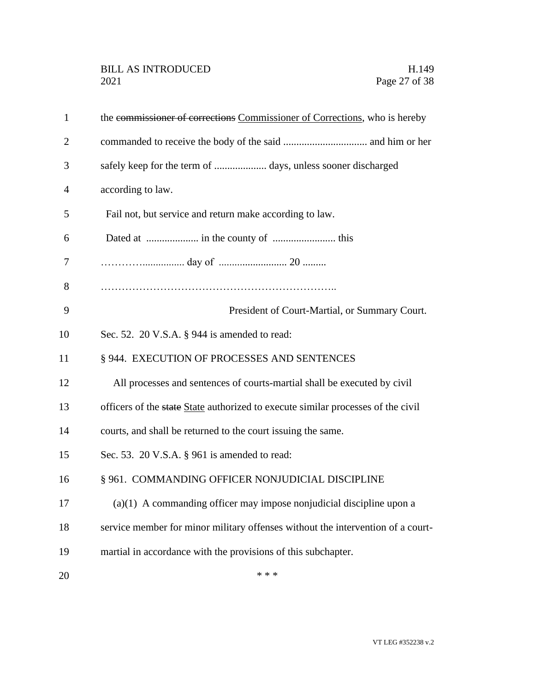| $\mathbf{1}$   | the commissioner of corrections Commissioner of Corrections, who is hereby       |
|----------------|----------------------------------------------------------------------------------|
| $\overline{2}$ |                                                                                  |
| 3              |                                                                                  |
| 4              | according to law.                                                                |
| 5              | Fail not, but service and return make according to law.                          |
| 6              |                                                                                  |
| 7              |                                                                                  |
| 8              |                                                                                  |
| 9              | President of Court-Martial, or Summary Court.                                    |
| 10             | Sec. 52. 20 V.S.A. § 944 is amended to read:                                     |
| 11             | § 944. EXECUTION OF PROCESSES AND SENTENCES                                      |
| 12             | All processes and sentences of courts-martial shall be executed by civil         |
| 13             | officers of the state State authorized to execute similar processes of the civil |
| 14             | courts, and shall be returned to the court issuing the same.                     |
| 15             | Sec. 53. 20 V.S.A. § 961 is amended to read:                                     |
| 16             | § 961. COMMANDING OFFICER NONJUDICIAL DISCIPLINE                                 |
| 17             | $(a)(1)$ A commanding officer may impose nonjudicial discipline upon a           |
| 18             | service member for minor military offenses without the intervention of a court-  |
| 19             | martial in accordance with the provisions of this subchapter.                    |
| 20             | * * *                                                                            |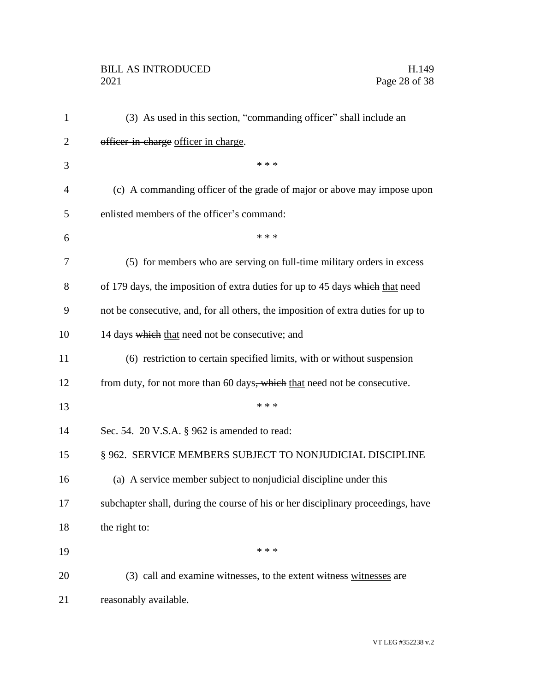# BILL AS INTRODUCED H.149<br>2021 Page 28 of 38

| $\mathbf{1}$   | (3) As used in this section, "commanding officer" shall include an                |
|----------------|-----------------------------------------------------------------------------------|
| 2              | officer-in-charge officer in charge.                                              |
| 3              | * * *                                                                             |
| $\overline{4}$ | (c) A commanding officer of the grade of major or above may impose upon           |
| 5              | enlisted members of the officer's command:                                        |
| 6              | * * *                                                                             |
| 7              | (5) for members who are serving on full-time military orders in excess            |
| 8              | of 179 days, the imposition of extra duties for up to 45 days which that need     |
| 9              | not be consecutive, and, for all others, the imposition of extra duties for up to |
| 10             | 14 days which that need not be consecutive; and                                   |
| 11             | (6) restriction to certain specified limits, with or without suspension           |
| 12             | from duty, for not more than 60 days, which that need not be consecutive.         |
| 13             | * * *                                                                             |
| 14             | Sec. 54. 20 V.S.A. § 962 is amended to read:                                      |
| 15             | § 962. SERVICE MEMBERS SUBJECT TO NONJUDICIAL DISCIPLINE                          |
| 16             | (a) A service member subject to nonjudicial discipline under this                 |
| 17             | subchapter shall, during the course of his or her disciplinary proceedings, have  |
| 18             | the right to:                                                                     |
| 19             | * * *                                                                             |
| 20             | (3) call and examine witnesses, to the extent witness witnesses are               |
| 21             | reasonably available.                                                             |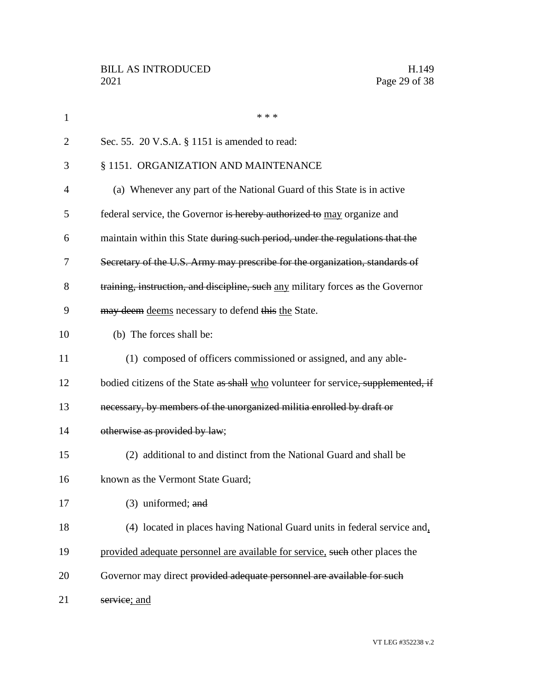| $\mathbf 1$ | * * *                                                                             |
|-------------|-----------------------------------------------------------------------------------|
| 2           | Sec. 55. 20 V.S.A. § 1151 is amended to read:                                     |
| 3           | § 1151. ORGANIZATION AND MAINTENANCE                                              |
| 4           | (a) Whenever any part of the National Guard of this State is in active            |
| 5           | federal service, the Governor is hereby authorized to may organize and            |
| 6           | maintain within this State during such period, under the regulations that the     |
| 7           | Secretary of the U.S. Army may prescribe for the organization, standards of       |
| 8           | training, instruction, and discipline, such any military forces as the Governor   |
| 9           | may deem deems necessary to defend this the State.                                |
| 10          | (b) The forces shall be:                                                          |
| 11          | (1) composed of officers commissioned or assigned, and any able-                  |
| 12          | bodied citizens of the State as shall who volunteer for service, supplemented, if |
| 13          | necessary, by members of the unorganized militia enrolled by draft or             |
| 14          | otherwise as provided by law;                                                     |
| 15          | (2) additional to and distinct from the National Guard and shall be               |
| 16          | known as the Vermont State Guard;                                                 |
| 17          | $(3)$ uniformed; and                                                              |
| 18          | (4) located in places having National Guard units in federal service and,         |
| 19          | provided adequate personnel are available for service, such other places the      |
| 20          | Governor may direct provided adequate personnel are available for such            |
| 21          | service; and                                                                      |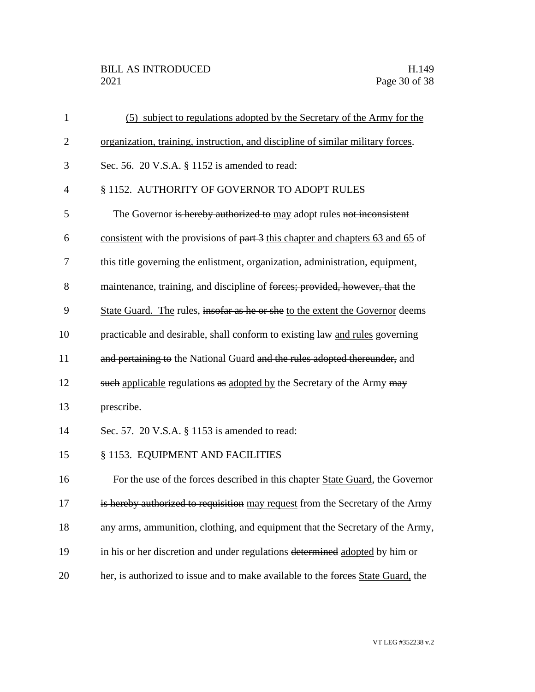## BILL AS INTRODUCED H.149<br>2021 Page 30 of 38

| $\mathbf{1}$   | (5) subject to regulations adopted by the Secretary of the Army for the          |
|----------------|----------------------------------------------------------------------------------|
| $\overline{2}$ | organization, training, instruction, and discipline of similar military forces.  |
| 3              | Sec. 56. 20 V.S.A. § 1152 is amended to read:                                    |
| $\overline{4}$ | § 1152. AUTHORITY OF GOVERNOR TO ADOPT RULES                                     |
| 5              | The Governor is hereby authorized to may adopt rules not inconsistent            |
| 6              | consistent with the provisions of part 3 this chapter and chapters 63 and 65 of  |
| 7              | this title governing the enlistment, organization, administration, equipment,    |
| 8              | maintenance, training, and discipline of forces; provided, however, that the     |
| 9              | State Guard. The rules, insofar as he or she to the extent the Governor deems    |
| 10             | practicable and desirable, shall conform to existing law and rules governing     |
| 11             | and pertaining to the National Guard and the rules adopted thereunder, and       |
| 12             | such applicable regulations as adopted by the Secretary of the Army may          |
| 13             | prescribe.                                                                       |
| 14             | Sec. 57. 20 V.S.A. § 1153 is amended to read:                                    |
| 15             | § 1153. EQUIPMENT AND FACILITIES                                                 |
| 16             | For the use of the forces described in this chapter State Guard, the Governor    |
| 17             | is hereby authorized to requisition may request from the Secretary of the Army   |
| 18             | any arms, ammunition, clothing, and equipment that the Secretary of the Army,    |
| 19             | in his or her discretion and under regulations determined adopted by him or      |
| 20             | her, is authorized to issue and to make available to the forces State Guard, the |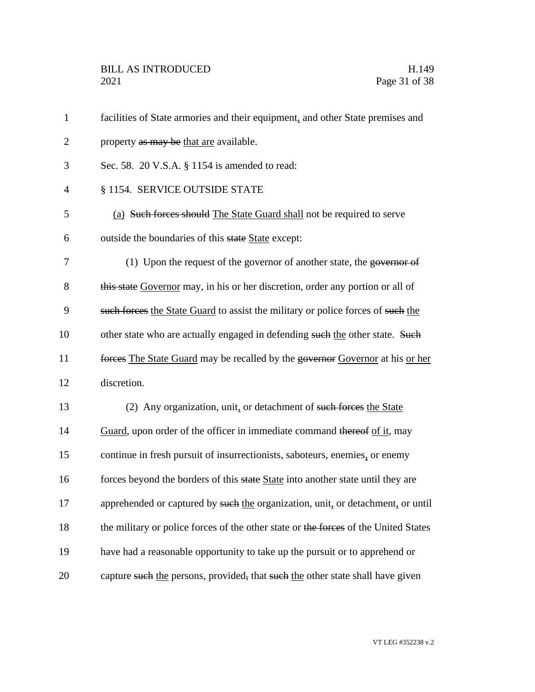| $\mathbf{1}$   | facilities of State armories and their equipment, and other State premises and      |
|----------------|-------------------------------------------------------------------------------------|
| $\overline{2}$ | property as may be that are available.                                              |
| 3              | Sec. 58. 20 V.S.A. § 1154 is amended to read:                                       |
| $\overline{4}$ | § 1154. SERVICE OUTSIDE STATE                                                       |
| 5              | (a) Such forces should The State Guard shall not be required to serve               |
| 6              | outside the boundaries of this state State except:                                  |
| 7              | (1) Upon the request of the governor of another state, the governor of              |
| 8              | this state Governor may, in his or her discretion, order any portion or all of      |
| 9              | such forces the State Guard to assist the military or police forces of such the     |
| 10             | other state who are actually engaged in defending such the other state. Such        |
| 11             | forces The State Guard may be recalled by the governor Governor at his or her       |
| 12             | discretion.                                                                         |
| 13             | (2) Any organization, unit, or detachment of such forces the State                  |
| 14             | Guard, upon order of the officer in immediate command thereof of it, may            |
| 15             | continue in fresh pursuit of insurrectionists, saboteurs, enemies, or enemy         |
| 16             | forces beyond the borders of this state State into another state until they are     |
| 17             | apprehended or captured by such the organization, unit, or detachment, or until     |
| 18             | the military or police forces of the other state or the forces of the United States |
| 19             | have had a reasonable opportunity to take up the pursuit or to apprehend or         |
| 20             | capture such the persons, provided, that such the other state shall have given      |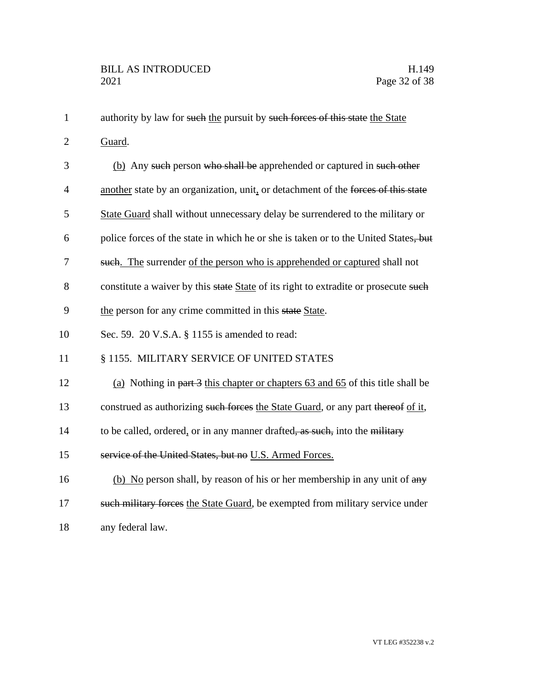| $\mathbf{1}$   | authority by law for such the pursuit by such forces of this state the State            |
|----------------|-----------------------------------------------------------------------------------------|
| $\overline{2}$ | Guard.                                                                                  |
| 3              | (b) Any such person who shall be apprehended or captured in such other                  |
| $\overline{4}$ | another state by an organization, unit, or detachment of the forces of this state       |
| 5              | State Guard shall without unnecessary delay be surrendered to the military or           |
| 6              | police forces of the state in which he or she is taken or to the United States, but     |
| $\tau$         | such. The surrender of the person who is apprehended or captured shall not              |
| 8              | constitute a waiver by this state State of its right to extradite or prosecute such     |
| 9              | the person for any crime committed in this state State.                                 |
| 10             | Sec. 59. 20 V.S.A. § 1155 is amended to read:                                           |
| 11             | § 1155. MILITARY SERVICE OF UNITED STATES                                               |
| 12             | (a) Nothing in part 3 this chapter or chapters 63 and 65 of this title shall be         |
| 13             | construed as authorizing such forces the State Guard, or any part thereof of it,        |
| 14             | to be called, ordered, or in any manner drafted <del>, as such,</del> into the military |
| 15             | service of the United States, but no U.S. Armed Forces.                                 |
| 16             | (b) No person shall, by reason of his or her membership in any unit of any              |
| 17             | such military forces the State Guard, be exempted from military service under           |
| 18             | any federal law.                                                                        |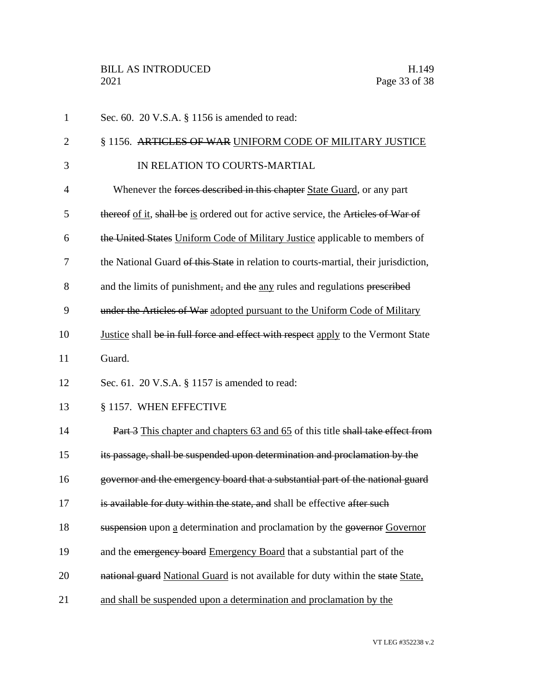| $\mathbf{1}$   | Sec. 60. 20 V.S.A. § 1156 is amended to read:                                       |
|----------------|-------------------------------------------------------------------------------------|
| $\overline{2}$ | § 1156. ARTICLES OF WAR UNIFORM CODE OF MILITARY JUSTICE                            |
| 3              | IN RELATION TO COURTS-MARTIAL                                                       |
| $\overline{4}$ | Whenever the forces described in this chapter State Guard, or any part              |
| 5              | thereof of it, shall be is ordered out for active service, the Articles of War of   |
| 6              | the United States Uniform Code of Military Justice applicable to members of         |
| 7              | the National Guard of this State in relation to courts-martial, their jurisdiction, |
| 8              | and the limits of punishment, and the any rules and regulations prescribed          |
| 9              | under the Articles of War adopted pursuant to the Uniform Code of Military          |
| 10             | Justice shall be in full force and effect with respect apply to the Vermont State   |
| 11             | Guard.                                                                              |
| 12             | Sec. 61. 20 V.S.A. § 1157 is amended to read:                                       |
| 13             | § 1157. WHEN EFFECTIVE                                                              |
| 14             | Part 3 This chapter and chapters 63 and 65 of this title shall take effect from     |
| 15             | its passage, shall be suspended upon determination and proclamation by the          |
| 16             | governor and the emergency board that a substantial part of the national guard      |
| 17             | is available for duty within the state, and shall be effective after such           |
| 18             | suspension upon a determination and proclamation by the governor Governor           |
| 19             | and the emergency board Emergency Board that a substantial part of the              |
| 20             | national guard National Guard is not available for duty within the state State,     |
| 21             | and shall be suspended upon a determination and proclamation by the                 |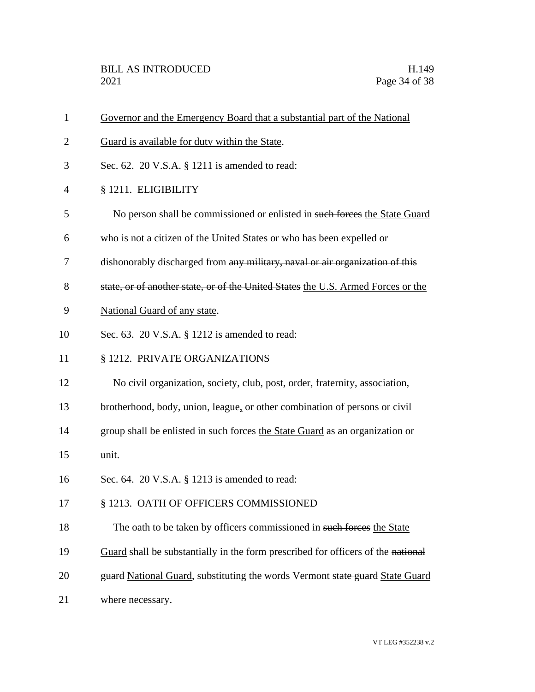| $\mathbf{1}$ | Governor and the Emergency Board that a substantial part of the National         |
|--------------|----------------------------------------------------------------------------------|
| 2            | Guard is available for duty within the State.                                    |
| 3            | Sec. 62. 20 V.S.A. § 1211 is amended to read:                                    |
| 4            | § 1211. ELIGIBILITY                                                              |
| 5            | No person shall be commissioned or enlisted in such forces the State Guard       |
| 6            | who is not a citizen of the United States or who has been expelled or            |
| 7            | dishonorably discharged from any military, naval or air organization of this     |
| 8            | state, or of another state, or of the United States the U.S. Armed Forces or the |
| 9            | National Guard of any state.                                                     |
| 10           | Sec. 63. 20 V.S.A. § 1212 is amended to read:                                    |
| 11           | § 1212. PRIVATE ORGANIZATIONS                                                    |
| 12           | No civil organization, society, club, post, order, fraternity, association,      |
| 13           | brotherhood, body, union, league, or other combination of persons or civil       |
| 14           | group shall be enlisted in such forces the State Guard as an organization or     |
| 15           | unit.                                                                            |
| 16           | Sec. 64. 20 V.S.A. § 1213 is amended to read:                                    |
| 17           | § 1213. OATH OF OFFICERS COMMISSIONED                                            |
| 18           | The oath to be taken by officers commissioned in such forces the State           |
| 19           | Guard shall be substantially in the form prescribed for officers of the national |
| 20           | guard National Guard, substituting the words Vermont state guard State Guard     |
| 21           | where necessary.                                                                 |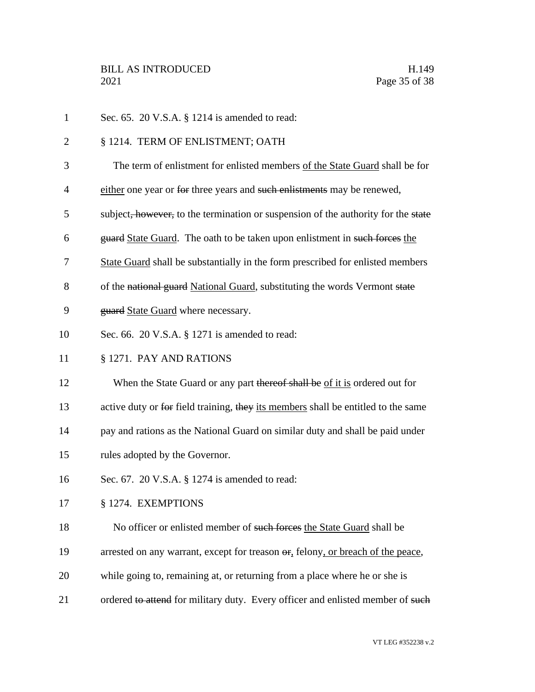| $\mathbf{1}$   | Sec. 65. 20 V.S.A. § 1214 is amended to read:                                          |
|----------------|----------------------------------------------------------------------------------------|
| $\overline{2}$ | § 1214. TERM OF ENLISTMENT; OATH                                                       |
| 3              | The term of enlistment for enlisted members of the State Guard shall be for            |
| 4              | either one year or for three years and such enlistments may be renewed,                |
| 5              | subject, however, to the termination or suspension of the authority for the state      |
| 6              | guard State Guard. The oath to be taken upon enlistment in such forces the             |
| 7              | State Guard shall be substantially in the form prescribed for enlisted members         |
| 8              | of the national guard National Guard, substituting the words Vermont state             |
| 9              | guard State Guard where necessary.                                                     |
| 10             | Sec. 66. 20 V.S.A. § 1271 is amended to read:                                          |
| 11             | § 1271. PAY AND RATIONS                                                                |
| 12             | When the State Guard or any part thereof shall be of it is ordered out for             |
| 13             | active duty or for field training, they its members shall be entitled to the same      |
| 14             | pay and rations as the National Guard on similar duty and shall be paid under          |
| 15             | rules adopted by the Governor.                                                         |
| 16             | Sec. 67. 20 V.S.A. § 1274 is amended to read:                                          |
| 17             | § 1274. EXEMPTIONS                                                                     |
| 18             | No officer or enlisted member of such forces the State Guard shall be                  |
| 19             | arrested on any warrant, except for treason $\sigma$ , felony, or breach of the peace, |
| 20             | while going to, remaining at, or returning from a place where he or she is             |
| 21             | ordered to attend for military duty. Every officer and enlisted member of such         |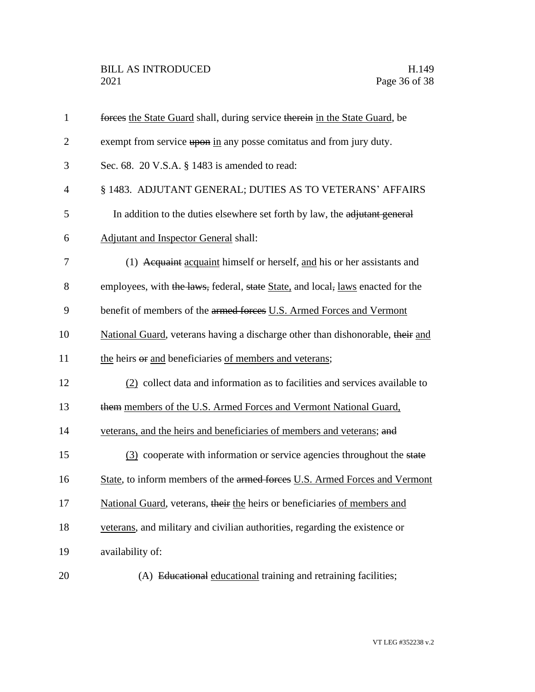| $\mathbf{1}$   | forces the State Guard shall, during service therein in the State Guard, be     |
|----------------|---------------------------------------------------------------------------------|
| $\overline{2}$ | exempt from service upon in any posse comitatus and from jury duty.             |
| 3              | Sec. 68. 20 V.S.A. § 1483 is amended to read:                                   |
| $\overline{4}$ | § 1483. ADJUTANT GENERAL; DUTIES AS TO VETERANS' AFFAIRS                        |
| 5              | In addition to the duties elsewhere set forth by law, the adjutant general      |
| 6              | <b>Adjutant and Inspector General shall:</b>                                    |
| 7              | (1) Acquaint acquaint himself or herself, and his or her assistants and         |
| 8              | employees, with the laws, federal, state State, and local, laws enacted for the |
| 9              | benefit of members of the armed forces U.S. Armed Forces and Vermont            |
| 10             | National Guard, veterans having a discharge other than dishonorable, their and  |
| 11             | the heirs or and beneficiaries of members and veterans;                         |
| 12             | (2) collect data and information as to facilities and services available to     |
| 13             | them members of the U.S. Armed Forces and Vermont National Guard,               |
| 14             | veterans, and the heirs and beneficiaries of members and veterans; and          |
| 15             | (3) cooperate with information or service agencies throughout the state         |
| 16             | State, to inform members of the armed forces U.S. Armed Forces and Vermont      |
| 17             | National Guard, veterans, their the heirs or beneficiaries of members and       |
| 18             | veterans, and military and civilian authorities, regarding the existence or     |
| 19             | availability of:                                                                |
| 20             | (A) Educational educational training and retraining facilities;                 |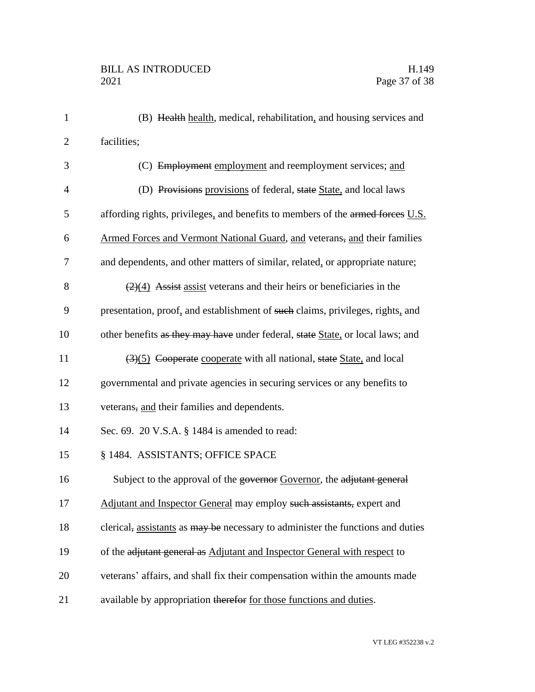| $\mathbf{1}$   | (B) Health health, medical, rehabilitation, and housing services and                      |
|----------------|-------------------------------------------------------------------------------------------|
| $\mathbf{2}$   | facilities;                                                                               |
| 3              | (C) Employment employment and reemployment services; and                                  |
| $\overline{4}$ | (D) Provisions provisions of federal, state State, and local laws                         |
| 5              | affording rights, privileges, and benefits to members of the armed forces U.S.            |
| 6              | Armed Forces and Vermont National Guard, and veterans, and their families                 |
| 7              | and dependents, and other matters of similar, related, or appropriate nature;             |
| 8              | $\left(\frac{2}{4}\right)$ Assist assist veterans and their heirs or beneficiaries in the |
| 9              | presentation, proof, and establishment of such claims, privileges, rights, and            |
| 10             | other benefits as they may have under federal, state State, or local laws; and            |
| 11             | (3)(5) Cooperate cooperate with all national, state State, and local                      |
| 12             | governmental and private agencies in securing services or any benefits to                 |
| 13             | veterans, and their families and dependents.                                              |
| 14             | Sec. 69. 20 V.S.A. § 1484 is amended to read:                                             |
| 15             | § 1484. ASSISTANTS; OFFICE SPACE                                                          |
| 16             | Subject to the approval of the governor Governor, the adjutant general                    |
| 17             | Adjutant and Inspector General may employ such assistants, expert and                     |
| 18             | clerical, assistants as may be necessary to administer the functions and duties           |
| 19             | of the adjutant general as Adjutant and Inspector General with respect to                 |
| 20             | veterans' affairs, and shall fix their compensation within the amounts made               |
| 21             | available by appropriation therefor for those functions and duties.                       |